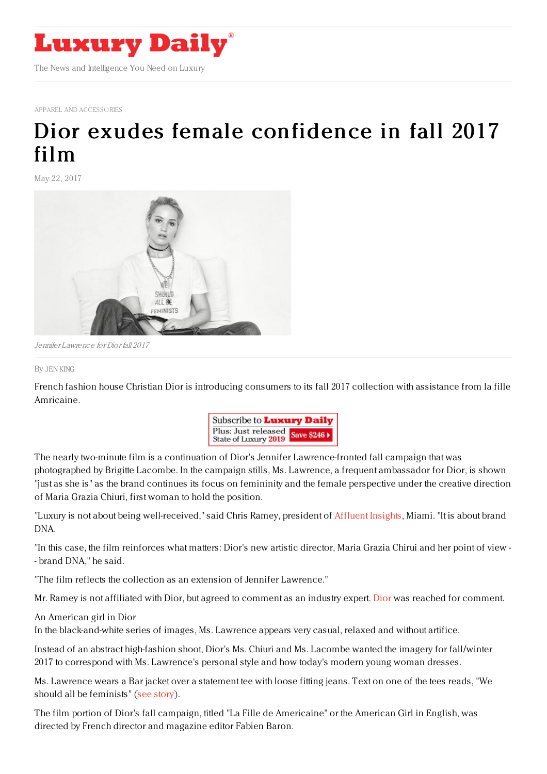

APPAREL AND ACCESSORIES

## Dior exudes female [confidence](https://www.luxurydaily.com/dior-exudes-female-confidence-in-fall-2017-film/) in fall 2017 film

May 22, 2017



Jennifer Lawrence for Dior fall 2017

## By JEN [KING](file:///author/jen-king)

French fashion house Christian Dior is introducing consumers to its fall 2017 collection with assistance from la fille Amricaine.



The nearly two-minute film is a continuation of Dior's Jennifer Lawrence-fronted fall campaign that was photographed by Brigitte Lacombe. In the campaign stills, Ms. Lawrence, a frequent ambassador for Dior, is shown "just as she is" as the brand continues its focus on femininity and the female perspective under the creative direction of Maria Grazia Chiuri, first woman to hold the position.

"Luxury is not about being well-received," said Chris Ramey, president of [Affluent](http://www.affluentinsights.com/) Insights, Miami. "It is about brand DNA.

"In this case, the film reinforces what matters: Dior's new artistic director, Maria Grazia Chirui and her point of view - - brand DNA," he said.

"The film reflects the collection as an extension of Jennifer Lawrence."

Mr. Ramey is not affiliated with Dior, but agreed to comment as an industry expert. [Dior](http://www.dior.com) was reached for comment.

An American girl in Dior

In the black-and-white series of images, Ms. Lawrence appears very casual, relaxed and without artifice.

Instead of an abstract high-fashion shoot, Dior's Ms. Chiuri and Ms. Lacombe wanted the imagery for fall/winter 2017 to correspond with Ms. Lawrence's personal style and how today's modern young woman dresses.

Ms. Lawrence wears a Bar jacket over a statement tee with loose fitting jeans. Text on one of the tees reads, "We should all be feminists" (see [story](https://www.luxurydaily.com/dior-takes-elegant-yet-unposed-approach-for-fall-2017/)).

The film portion of Dior's fall campaign, titled "La Fille de Americaine" or the American Girl in English, was directed by French director and magazine editor Fabien Baron.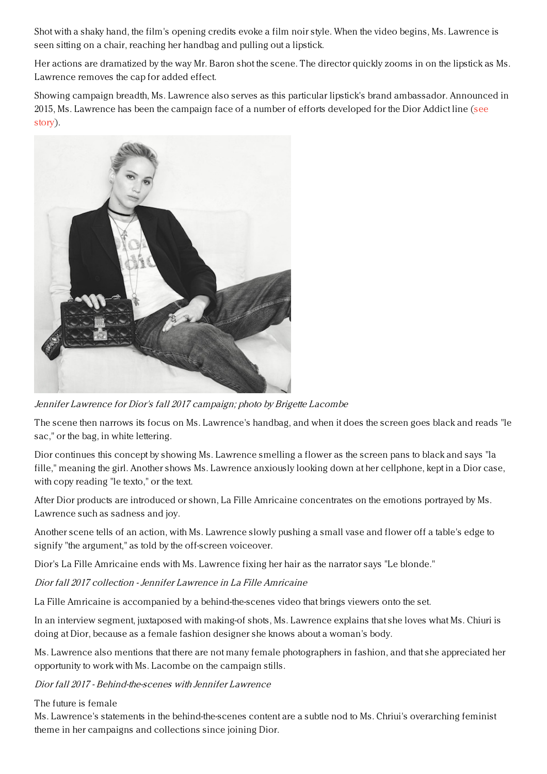Shot with a shaky hand, the film's opening credits evoke a film noir style. When the video begins, Ms. Lawrence is seen sitting on a chair, reaching her handbag and pulling out a lipstick.

Her actions are dramatized by the way Mr. Baron shot the scene. The director quickly zooms in on the lipstick as Ms. Lawrence removes the cap for added effect.

Showing campaign breadth, Ms. Lawrence also serves as this particular lipstick's brand ambassador. Announced in 2015, Ms. Lawrence has been the campaign face of a number of efforts [developed](https://www.luxurydaily.com/dior-serves-up-cosmetics-celebrity-in-diner-themed-effort/) for the Dior Addict line (see story).



Jennifer Lawrence for Dior's fall 2017 campaign; photo by Brigette Lacombe

The scene then narrows its focus on Ms. Lawrence's handbag, and when it does the screen goes black and reads "le sac," or the bag, in white lettering.

Dior continues this concept by showing Ms. Lawrence smelling a flower as the screen pans to black and says "la fille," meaning the girl. Another shows Ms. Lawrence anxiously looking down at her cellphone, kept in a Dior case, with copy reading "le texto," or the text.

After Dior products are introduced or shown, La Fille Amricaine concentrates on the emotions portrayed by Ms. Lawrence such as sadness and joy.

Another scene tells of an action, with Ms. Lawrence slowly pushing a small vase and flower off a table's edge to signify "the argument," as told by the off-screen voiceover.

Dior's La Fille Amricaine ends with Ms. Lawrence fixing her hair as the narrator says "Le blonde."

Dior fall 2017 collection - Jennifer Lawrence in La Fille Amricaine

La Fille Amricaine is accompanied by a behind-the-scenes video that brings viewers onto the set.

In an interview segment, juxtaposed with making-of shots, Ms. Lawrence explains that she loves what Ms. Chiuri is doing at Dior, because as a female fashion designer she knows about a woman's body.

Ms. Lawrence also mentions that there are not many female photographers in fashion, and that she appreciated her opportunity to work with Ms. Lacombe on the campaign stills.

Dior fall 2017 - Behind-the-scenes with Jennifer Lawrence

The future is female

Ms. Lawrence's statements in the behind-the-scenes content are a subtle nod to Ms. Chriui's overarching feminist theme in her campaigns and collections since joining Dior.